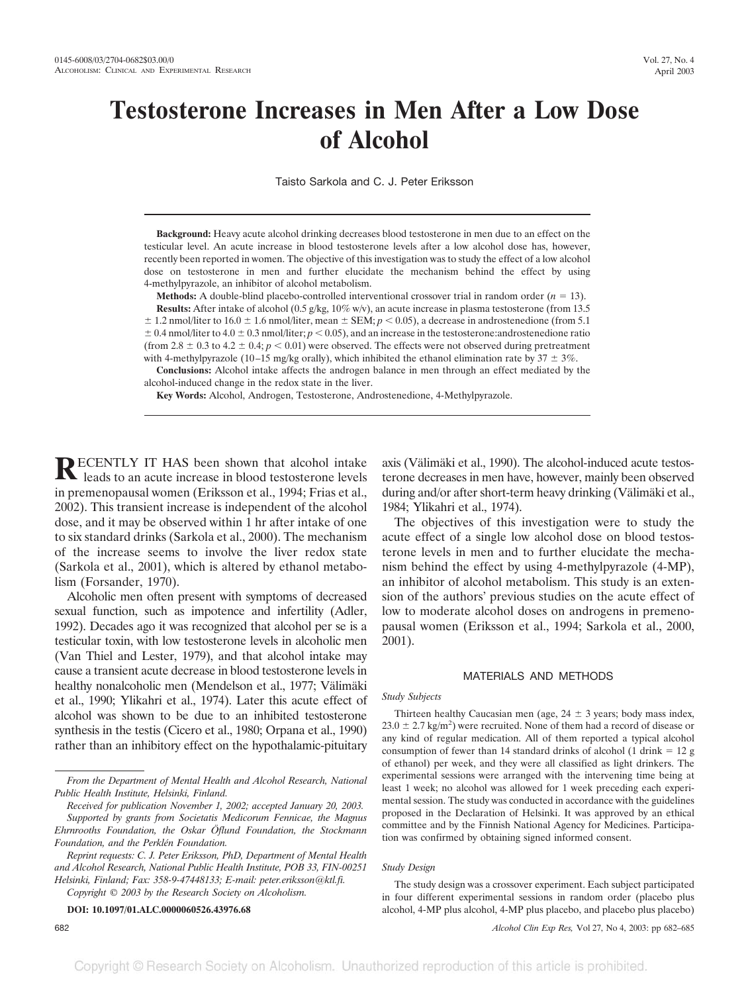# **Testosterone Increases in Men After a Low Dose of Alcohol**

Taisto Sarkola and C. J. Peter Eriksson

**Background:** Heavy acute alcohol drinking decreases blood testosterone in men due to an effect on the testicular level. An acute increase in blood testosterone levels after a low alcohol dose has, however, recently been reported in women. The objective of this investigation was to study the effect of a low alcohol dose on testosterone in men and further elucidate the mechanism behind the effect by using 4-methylpyrazole, an inhibitor of alcohol metabolism.

**Methods:** A double-blind placebo-controlled interventional crossover trial in random order  $(n = 13)$ . **Results:** After intake of alcohol (0.5 g/kg, 10% w/v), an acute increase in plasma testosterone (from 13.5)  $\pm$  1.2 nmol/liter to 16.0  $\pm$  1.6 nmol/liter, mean  $\pm$  SEM;  $p < 0.05$ ), a decrease in androstenedione (from 5.1  $\pm$  0.4 nmol/liter to 4.0  $\pm$  0.3 nmol/liter;  $p$  < 0.05), and an increase in the testosterone:androstenedione ratio (from 2.8  $\pm$  0.3 to 4.2  $\pm$  0.4; *p* < 0.01) were observed. The effects were not observed during pretreatment with 4-methylpyrazole (10–15 mg/kg orally), which inhibited the ethanol elimination rate by  $37 \pm 3\%$ .

**Conclusions:** Alcohol intake affects the androgen balance in men through an effect mediated by the alcohol-induced change in the redox state in the liver.

**Key Words:** Alcohol, Androgen, Testosterone, Androstenedione, 4-Methylpyrazole.

**RECENTLY IT HAS been shown that alcohol intake** leads to an acute increase in blood testosterone levels in premenopausal women (Eriksson et al., 1994; Frias et al., 2002). This transient increase is independent of the alcohol dose, and it may be observed within 1 hr after intake of one to six standard drinks (Sarkola et al., 2000). The mechanism of the increase seems to involve the liver redox state (Sarkola et al., 2001), which is altered by ethanol metabolism (Forsander, 1970).

Alcoholic men often present with symptoms of decreased sexual function, such as impotence and infertility (Adler, 1992). Decades ago it was recognized that alcohol per se is a testicular toxin, with low testosterone levels in alcoholic men (Van Thiel and Lester, 1979), and that alcohol intake may cause a transient acute decrease in blood testosterone levels in healthy nonalcoholic men (Mendelson et al., 1977; Välimäki et al., 1990; Ylikahri et al., 1974). Later this acute effect of alcohol was shown to be due to an inhibited testosterone synthesis in the testis (Cicero et al., 1980; Orpana et al., 1990) rather than an inhibitory effect on the hypothalamic-pituitary

*Copyright © 2003 by the Research Society on Alcoholism.*

**DOI: 10.1097/01.ALC.0000060526.43976.68**

axis (Välimäki et al., 1990). The alcohol-induced acute testosterone decreases in men have, however, mainly been observed during and/or after short-term heavy drinking (Välimäki et al., 1984; Ylikahri et al., 1974).

The objectives of this investigation were to study the acute effect of a single low alcohol dose on blood testosterone levels in men and to further elucidate the mechanism behind the effect by using 4-methylpyrazole (4-MP), an inhibitor of alcohol metabolism. This study is an extension of the authors' previous studies on the acute effect of low to moderate alcohol doses on androgens in premenopausal women (Eriksson et al., 1994; Sarkola et al., 2000, 2001).

#### MATERIALS AND METHODS

#### *Study Subjects*

Thirteen healthy Caucasian men (age,  $24 \pm 3$  years; body mass index,  $23.0 \pm 2.7$  kg/m<sup>2</sup>) were recruited. None of them had a record of disease or any kind of regular medication. All of them reported a typical alcohol consumption of fewer than 14 standard drinks of alcohol (1 drink  $= 12$  g of ethanol) per week, and they were all classified as light drinkers. The experimental sessions were arranged with the intervening time being at least 1 week; no alcohol was allowed for 1 week preceding each experimental session. The study was conducted in accordance with the guidelines proposed in the Declaration of Helsinki. It was approved by an ethical committee and by the Finnish National Agency for Medicines. Participation was confirmed by obtaining signed informed consent.

#### *Study Design*

The study design was a crossover experiment. Each subject participated in four different experimental sessions in random order (placebo plus alcohol, 4-MP plus alcohol, 4-MP plus placebo, and placebo plus placebo)

682 *Alcohol Clin Exp Res,* Vol 27, No 4, 2003: pp 682–685

*From the Department of Mental Health and Alcohol Research, National Public Health Institute, Helsinki, Finland.*

*Received for publication November 1, 2002; accepted January 20, 2003. Supported by grants from Societatis Medicorum Fennicae, the Magnus Ehrnrooths Foundation, the Oskar Öflund Foundation, the Stockmann Foundation, and the Perklén Foundation.*

*Reprint requests: C. J. Peter Eriksson, PhD, Department of Mental Health and Alcohol Research, National Public Health Institute, POB 33, FIN-00251 Helsinki, Finland; Fax: 358-9-47448133; E-mail: peter.eriksson@ktl.fi.*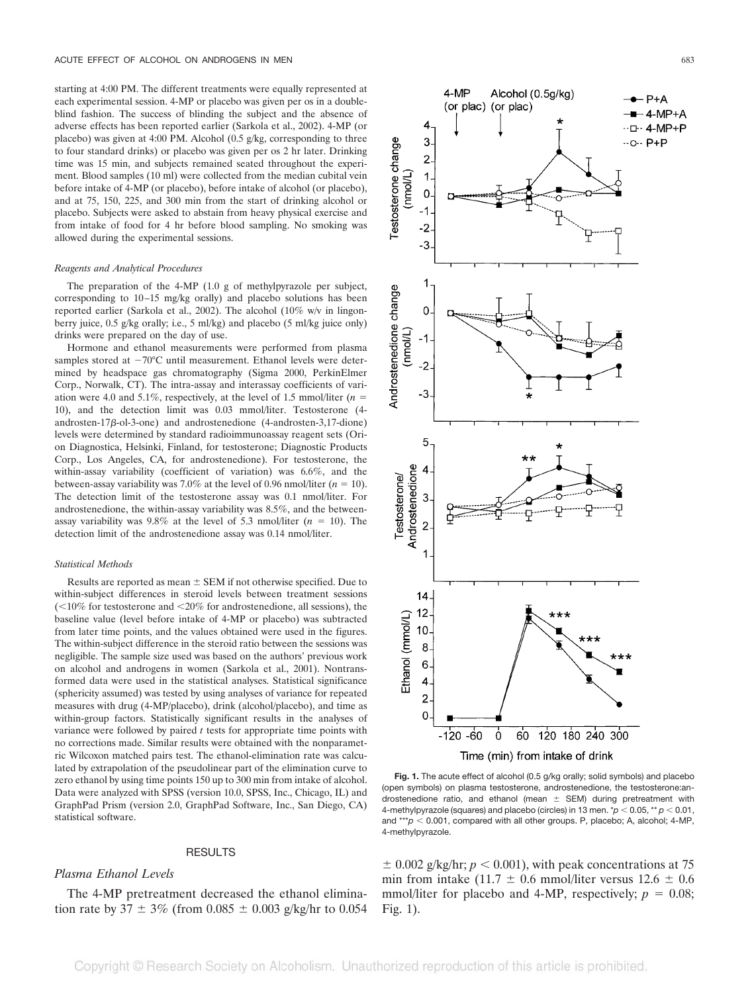starting at 4:00 PM. The different treatments were equally represented at each experimental session. 4-MP or placebo was given per os in a doubleblind fashion. The success of blinding the subject and the absence of adverse effects has been reported earlier (Sarkola et al., 2002). 4-MP (or placebo) was given at 4:00 PM. Alcohol (0.5 g/kg, corresponding to three to four standard drinks) or placebo was given per os 2 hr later. Drinking time was 15 min, and subjects remained seated throughout the experiment. Blood samples (10 ml) were collected from the median cubital vein before intake of 4-MP (or placebo), before intake of alcohol (or placebo), and at 75, 150, 225, and 300 min from the start of drinking alcohol or placebo. Subjects were asked to abstain from heavy physical exercise and from intake of food for 4 hr before blood sampling. No smoking was allowed during the experimental sessions.

#### *Reagents and Analytical Procedures*

The preparation of the 4-MP (1.0 g of methylpyrazole per subject, corresponding to 10–15 mg/kg orally) and placebo solutions has been reported earlier (Sarkola et al., 2002). The alcohol (10% w/v in lingonberry juice, 0.5 g/kg orally; i.e., 5 ml/kg) and placebo (5 ml/kg juice only) drinks were prepared on the day of use.

Hormone and ethanol measurements were performed from plasma samples stored at  $-70^{\circ}$ C until measurement. Ethanol levels were determined by headspace gas chromatography (Sigma 2000, PerkinElmer Corp., Norwalk, CT). The intra-assay and interassay coefficients of variation were 4.0 and 5.1%, respectively, at the level of 1.5 mmol/liter  $(n =$ 10), and the detection limit was 0.03 mmol/liter. Testosterone (4 androsten-17 $\beta$ -ol-3-one) and androstenedione (4-androsten-3,17-dione) levels were determined by standard radioimmunoassay reagent sets (Orion Diagnostica, Helsinki, Finland, for testosterone; Diagnostic Products Corp., Los Angeles, CA, for androstenedione). For testosterone, the within-assay variability (coefficient of variation) was 6.6%, and the between-assay variability was 7.0% at the level of 0.96 nmol/liter  $(n = 10)$ . The detection limit of the testosterone assay was 0.1 nmol/liter. For androstenedione, the within-assay variability was 8.5%, and the betweenassay variability was 9.8% at the level of 5.3 nmol/liter  $(n = 10)$ . The detection limit of the androstenedione assay was 0.14 nmol/liter.

#### *Statistical Methods*

Results are reported as mean  $\pm$  SEM if not otherwise specified. Due to within-subject differences in steroid levels between treatment sessions  $\approx$  10% for testosterone and  $\approx$  20% for androstenedione, all sessions), the baseline value (level before intake of 4-MP or placebo) was subtracted from later time points, and the values obtained were used in the figures. The within-subject difference in the steroid ratio between the sessions was negligible. The sample size used was based on the authors' previous work on alcohol and androgens in women (Sarkola et al., 2001). Nontransformed data were used in the statistical analyses. Statistical significance (sphericity assumed) was tested by using analyses of variance for repeated measures with drug (4-MP/placebo), drink (alcohol/placebo), and time as within-group factors. Statistically significant results in the analyses of variance were followed by paired *t* tests for appropriate time points with no corrections made. Similar results were obtained with the nonparametric Wilcoxon matched pairs test. The ethanol-elimination rate was calculated by extrapolation of the pseudolinear part of the elimination curve to zero ethanol by using time points 150 up to 300 min from intake of alcohol. Data were analyzed with SPSS (version 10.0, SPSS, Inc., Chicago, IL) and GraphPad Prism (version 2.0, GraphPad Software, Inc., San Diego, CA) statistical software.

#### RESULTS

## *Plasma Ethanol Levels*

The 4-MP pretreatment decreased the ethanol elimination rate by 37  $\pm$  3% (from 0.085  $\pm$  0.003 g/kg/hr to 0.054



**Fig. 1.** The acute effect of alcohol (0.5 g/kg orally; solid symbols) and placebo (open symbols) on plasma testosterone, androstenedione, the testosterone:androstenedione ratio, and ethanol (mean  $\pm$  SEM) during pretreatment with 4-methylpyrazole (squares) and placebo (circles) in 13 men.  $p < 0.05$ ,  $p < 0.01$ , and \*\*\* $p < 0.001$ , compared with all other groups. P, placebo; A, alcohol; 4-MP, 4-methylpyrazole.

 $\pm$  0.002 g/kg/hr;  $p < 0.001$ ), with peak concentrations at 75 min from intake  $(11.7 \pm 0.6 \text{ mmol/liter versus } 12.6 \pm 0.6 \text{ m}$ mmol/liter for placebo and 4-MP, respectively;  $p = 0.08$ ; Fig. 1).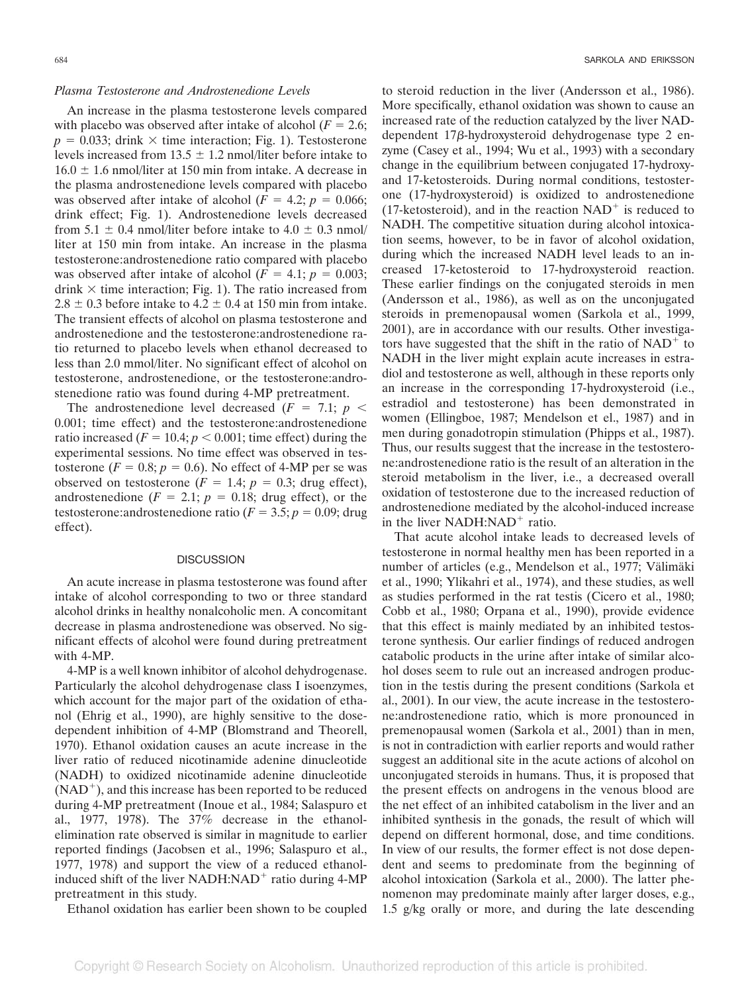### *Plasma Testosterone and Androstenedione Levels*

An increase in the plasma testosterone levels compared with placebo was observed after intake of alcohol  $(F = 2.6;$  $p = 0.033$ ; drink  $\times$  time interaction; Fig. 1). Testosterone levels increased from  $13.5 \pm 1.2$  nmol/liter before intake to  $16.0 \pm 1.6$  nmol/liter at 150 min from intake. A decrease in the plasma androstenedione levels compared with placebo was observed after intake of alcohol  $(F = 4.2; p = 0.066;$ drink effect; Fig. 1). Androstenedione levels decreased from  $5.1 \pm 0.4$  nmol/liter before intake to  $4.0 \pm 0.3$  nmol/ liter at 150 min from intake. An increase in the plasma testosterone:androstenedione ratio compared with placebo was observed after intake of alcohol  $(F = 4.1; p = 0.003;$ drink  $\times$  time interaction; Fig. 1). The ratio increased from  $2.8 \pm 0.3$  before intake to  $4.2 \pm 0.4$  at 150 min from intake. The transient effects of alcohol on plasma testosterone and androstenedione and the testosterone:androstenedione ratio returned to placebo levels when ethanol decreased to less than 2.0 mmol/liter. No significant effect of alcohol on testosterone, androstenedione, or the testosterone:androstenedione ratio was found during 4-MP pretreatment.

The androstenedione level decreased  $(F = 7.1; p <$ 0.001; time effect) and the testosterone:androstenedione ratio increased  $(F = 10.4; p < 0.001;$  time effect) during the experimental sessions. No time effect was observed in testosterone  $(F = 0.8; p = 0.6)$ . No effect of 4-MP per se was observed on testosterone  $(F = 1.4; p = 0.3;$  drug effect), androstenedione  $(F = 2.1; p = 0.18;$  drug effect), or the testosterone:androstenedione ratio ( $F = 3.5$ ;  $p = 0.09$ ; drug effect).

#### **DISCUSSION**

An acute increase in plasma testosterone was found after intake of alcohol corresponding to two or three standard alcohol drinks in healthy nonalcoholic men. A concomitant decrease in plasma androstenedione was observed. No significant effects of alcohol were found during pretreatment with 4-MP.

4-MP is a well known inhibitor of alcohol dehydrogenase. Particularly the alcohol dehydrogenase class I isoenzymes, which account for the major part of the oxidation of ethanol (Ehrig et al., 1990), are highly sensitive to the dosedependent inhibition of 4-MP (Blomstrand and Theorell, 1970). Ethanol oxidation causes an acute increase in the liver ratio of reduced nicotinamide adenine dinucleotide (NADH) to oxidized nicotinamide adenine dinucleotide  $(NAD<sup>+</sup>)$ , and this increase has been reported to be reduced during 4-MP pretreatment (Inoue et al., 1984; Salaspuro et al., 1977, 1978). The 37% decrease in the ethanolelimination rate observed is similar in magnitude to earlier reported findings (Jacobsen et al., 1996; Salaspuro et al., 1977, 1978) and support the view of a reduced ethanolinduced shift of the liver  $NADH: NAD<sup>+</sup>$  ratio during 4-MP pretreatment in this study.

Ethanol oxidation has earlier been shown to be coupled

to steroid reduction in the liver (Andersson et al., 1986). More specifically, ethanol oxidation was shown to cause an increased rate of the reduction catalyzed by the liver NADdependent  $17\beta$ -hydroxysteroid dehydrogenase type 2 enzyme (Casey et al., 1994; Wu et al., 1993) with a secondary change in the equilibrium between conjugated 17-hydroxyand 17-ketosteroids. During normal conditions, testosterone (17-hydroxysteroid) is oxidized to androstenedione (17-ketosteroid), and in the reaction  $NAD<sup>+</sup>$  is reduced to NADH. The competitive situation during alcohol intoxication seems, however, to be in favor of alcohol oxidation, during which the increased NADH level leads to an increased 17-ketosteroid to 17-hydroxysteroid reaction. These earlier findings on the conjugated steroids in men (Andersson et al., 1986), as well as on the unconjugated steroids in premenopausal women (Sarkola et al., 1999, 2001), are in accordance with our results. Other investigators have suggested that the shift in the ratio of  $NAD<sup>+</sup>$  to NADH in the liver might explain acute increases in estradiol and testosterone as well, although in these reports only an increase in the corresponding 17-hydroxysteroid (i.e., estradiol and testosterone) has been demonstrated in women (Ellingboe, 1987; Mendelson et el., 1987) and in men during gonadotropin stimulation (Phipps et al., 1987). Thus, our results suggest that the increase in the testosterone:androstenedione ratio is the result of an alteration in the steroid metabolism in the liver, i.e., a decreased overall oxidation of testosterone due to the increased reduction of androstenedione mediated by the alcohol-induced increase in the liver  $NADH: NAD<sup>+</sup>$  ratio.

That acute alcohol intake leads to decreased levels of testosterone in normal healthy men has been reported in a number of articles (e.g., Mendelson et al., 1977; Välimäki et al., 1990; Ylikahri et al., 1974), and these studies, as well as studies performed in the rat testis (Cicero et al., 1980; Cobb et al., 1980; Orpana et al., 1990), provide evidence that this effect is mainly mediated by an inhibited testosterone synthesis. Our earlier findings of reduced androgen catabolic products in the urine after intake of similar alcohol doses seem to rule out an increased androgen production in the testis during the present conditions (Sarkola et al., 2001). In our view, the acute increase in the testosterone:androstenedione ratio, which is more pronounced in premenopausal women (Sarkola et al., 2001) than in men, is not in contradiction with earlier reports and would rather suggest an additional site in the acute actions of alcohol on unconjugated steroids in humans. Thus, it is proposed that the present effects on androgens in the venous blood are the net effect of an inhibited catabolism in the liver and an inhibited synthesis in the gonads, the result of which will depend on different hormonal, dose, and time conditions. In view of our results, the former effect is not dose dependent and seems to predominate from the beginning of alcohol intoxication (Sarkola et al., 2000). The latter phenomenon may predominate mainly after larger doses, e.g., 1.5 g/kg orally or more, and during the late descending